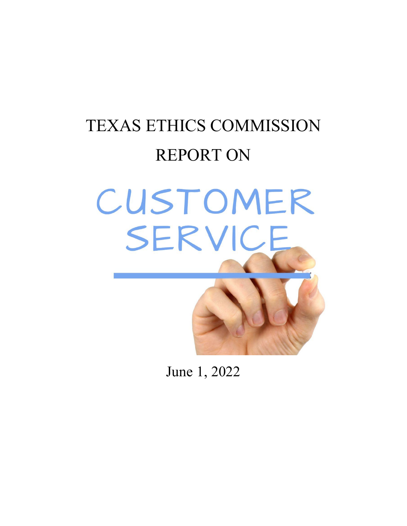# TEXAS ETHICS COMMISSION REPORT ON CUSTOMER SERVICE

June 1, 2022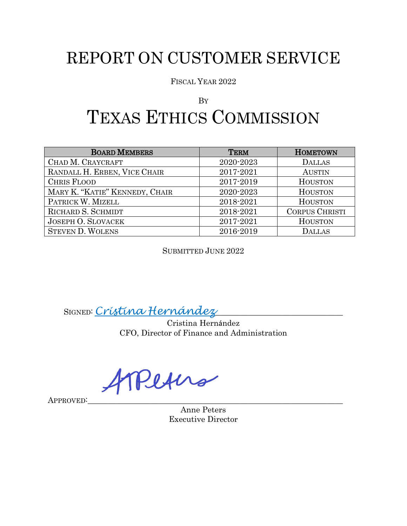# REPORT ON CUSTOMER SERVICE

FISCAL YEAR 2022

## BY TEXAS ETHICS COMMISSION

| <b>BOARD MEMBERS</b>           | <b>TERM</b> | <b>HOMETOWN</b>       |
|--------------------------------|-------------|-----------------------|
| CHAD M. CRAYCRAFT              | 2020-2023   | <b>DALLAS</b>         |
| RANDALL H. ERBEN, VICE CHAIR   | 2017-2021   | <b>AUSTIN</b>         |
| <b>CHRIS FLOOD</b>             | 2017-2019   | <b>HOUSTON</b>        |
| MARY K. "KATIE" KENNEDY, CHAIR | 2020-2023   | <b>HOUSTON</b>        |
| PATRICK W. MIZELL              | 2018-2021   | <b>HOUSTON</b>        |
| RICHARD S. SCHMIDT             | 2018-2021   | <b>CORPUS CHRISTI</b> |
| <b>JOSEPH O. SLOVACEK</b>      | 2017-2021   | <b>HOUSTON</b>        |
| <b>STEVEN D. WOLENS</b>        | 2016-2019   | <b>DALLAS</b>         |

SUBMITTED JUNE 2022

SIGNED: *Cristina Hernández*\_\_\_\_\_\_\_\_\_\_\_\_\_\_\_\_\_\_\_\_\_\_\_\_\_\_\_\_\_\_\_\_

Cristina Hernández CFO, Director of Finance and Administration

Peters

APPROVED<sup>:</sup>

Anne Peters Executive Director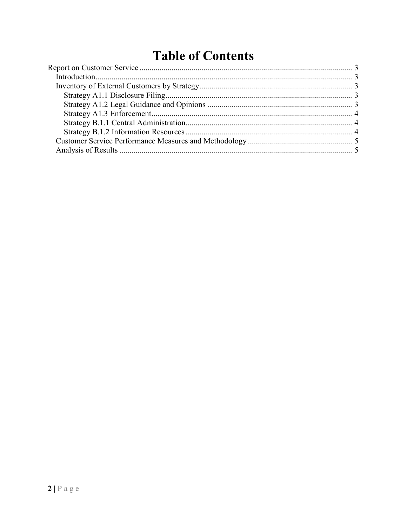# **Table of Contents**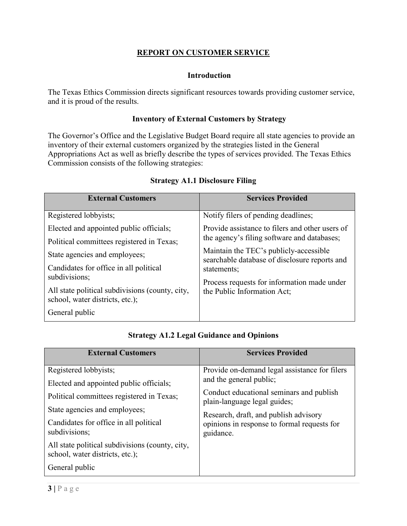### **REPORT ON CUSTOMER SERVICE**

#### **Introduction**

<span id="page-3-1"></span><span id="page-3-0"></span>The Texas Ethics Commission directs significant resources towards providing customer service, and it is proud of the results.

#### **Inventory of External Customers by Strategy**

<span id="page-3-2"></span>The Governor's Office and the Legislative Budget Board require all state agencies to provide an inventory of their external customers organized by the strategies listed in the General Appropriations Act as well as briefly describe the types of services provided. The Texas Ethics Commission consists of the following strategies:

<span id="page-3-3"></span>

| <b>External Customers</b>                                                          | <b>Services Provided</b>                                                                |  |  |  |  |
|------------------------------------------------------------------------------------|-----------------------------------------------------------------------------------------|--|--|--|--|
| Registered lobbyists;                                                              | Notify filers of pending deadlines;                                                     |  |  |  |  |
| Elected and appointed public officials;                                            | Provide assistance to filers and other users of                                         |  |  |  |  |
| Political committees registered in Texas;                                          | the agency's filing software and databases;                                             |  |  |  |  |
| State agencies and employees;                                                      | Maintain the TEC's publicly-accessible<br>searchable database of disclosure reports and |  |  |  |  |
| Candidates for office in all political                                             | statements;                                                                             |  |  |  |  |
| subdivisions;                                                                      | Process requests for information made under                                             |  |  |  |  |
| All state political subdivisions (county, city,<br>school, water districts, etc.); | the Public Information Act;                                                             |  |  |  |  |
| General public                                                                     |                                                                                         |  |  |  |  |

#### **Strategy A1.1 Disclosure Filing**

|  |  | <b>Strategy A1.2 Legal Guidance and Opinions</b> |  |
|--|--|--------------------------------------------------|--|
|--|--|--------------------------------------------------|--|

<span id="page-3-4"></span>

| <b>External Customers</b>                                                                                                                                                                                                                                                                                         | <b>Services Provided</b>                                                                                                                                                                                                                                  |
|-------------------------------------------------------------------------------------------------------------------------------------------------------------------------------------------------------------------------------------------------------------------------------------------------------------------|-----------------------------------------------------------------------------------------------------------------------------------------------------------------------------------------------------------------------------------------------------------|
| Registered lobbyists;<br>Elected and appointed public officials;<br>Political committees registered in Texas;<br>State agencies and employees;<br>Candidates for office in all political<br>subdivisions;<br>All state political subdivisions (county, city,<br>school, water districts, etc.);<br>General public | Provide on-demand legal assistance for filers<br>and the general public;<br>Conduct educational seminars and publish<br>plain-language legal guides;<br>Research, draft, and publish advisory<br>opinions in response to formal requests for<br>guidance. |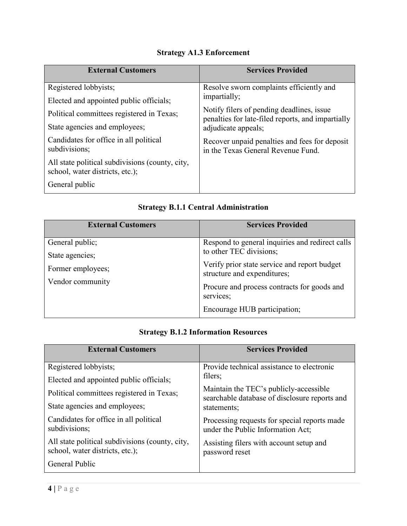## **Strategy A1.3 Enforcement**

<span id="page-4-0"></span>

| <b>External Customers</b>                                                          | <b>Services Provided</b>                                                                       |  |  |  |
|------------------------------------------------------------------------------------|------------------------------------------------------------------------------------------------|--|--|--|
| Registered lobbyists;                                                              | Resolve sworn complaints efficiently and                                                       |  |  |  |
| Elected and appointed public officials;                                            | impartially;                                                                                   |  |  |  |
| Political committees registered in Texas;                                          | Notify filers of pending deadlines, issue<br>penalties for late-filed reports, and impartially |  |  |  |
| State agencies and employees;                                                      | adjudicate appeals;                                                                            |  |  |  |
| Candidates for office in all political<br>subdivisions;                            | Recover unpaid penalties and fees for deposit<br>in the Texas General Revenue Fund.            |  |  |  |
| All state political subdivisions (county, city,<br>school, water districts, etc.); |                                                                                                |  |  |  |
| General public                                                                     |                                                                                                |  |  |  |

## **Strategy B.1.1 Central Administration**

<span id="page-4-1"></span>

| <b>External Customers</b> | <b>Services Provided</b>                                                    |
|---------------------------|-----------------------------------------------------------------------------|
| General public;           | Respond to general inquiries and redirect calls                             |
| State agencies;           | to other TEC divisions;                                                     |
| Former employees;         | Verify prior state service and report budget<br>structure and expenditures; |
| Vendor community          |                                                                             |
|                           | Procure and process contracts for goods and<br>services;                    |
|                           | Encourage HUB participation;                                                |

## **Strategy B.1.2 Information Resources**

<span id="page-4-2"></span>

| <b>External Customers</b>                                                          | <b>Services Provided</b>                                                                |  |  |  |  |
|------------------------------------------------------------------------------------|-----------------------------------------------------------------------------------------|--|--|--|--|
| Registered lobbyists;                                                              | Provide technical assistance to electronic                                              |  |  |  |  |
| Elected and appointed public officials;                                            | filers;                                                                                 |  |  |  |  |
| Political committees registered in Texas;                                          | Maintain the TEC's publicly-accessible<br>searchable database of disclosure reports and |  |  |  |  |
| State agencies and employees;                                                      | statements;                                                                             |  |  |  |  |
| Candidates for office in all political<br>subdivisions;                            | Processing requests for special reports made<br>under the Public Information Act;       |  |  |  |  |
| All state political subdivisions (county, city,<br>school, water districts, etc.); | Assisting filers with account setup and<br>password reset                               |  |  |  |  |
| General Public                                                                     |                                                                                         |  |  |  |  |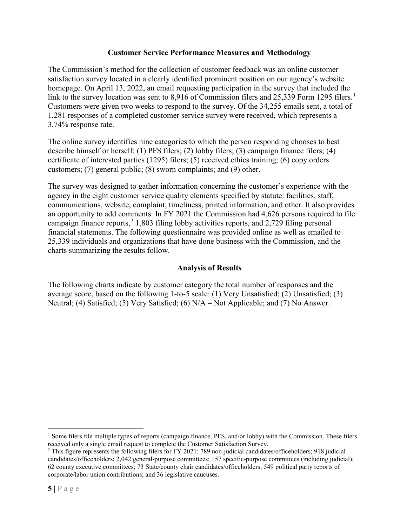#### **Customer Service Performance Measures and Methodology**

<span id="page-5-0"></span>The Commission's method for the collection of customer feedback was an online customer satisfaction survey located in a clearly identified prominent position on our agency's website homepage. On April 13, 2022, an email requesting participation in the survey that included the link to the survey location was sent to 8,9[1](#page-5-2)6 of Commission filers and 25,339 Form 1295 filers.<sup>1</sup> Customers were given two weeks to respond to the survey. Of the 34,255 emails sent, a total of 1,281 responses of a completed customer service survey were received, which represents a 3.74% response rate.

The online survey identifies nine categories to which the person responding chooses to best describe himself or herself: (1) PFS filers; (2) lobby filers; (3) campaign finance filers; (4) certificate of interested parties (1295) filers; (5) received ethics training; (6) copy orders customers; (7) general public; (8) sworn complaints; and (9) other.

The survey was designed to gather information concerning the customer's experience with the agency in the eight customer service quality elements specified by statute: facilities, staff, communications, website, complaint, timeliness, printed information, and other. It also provides an opportunity to add comments. In FY 2021 the Commission had 4,626 persons required to file campaign finance reports, $2$  1,803 filing lobby activities reports, and 2,729 filing personal financial statements. The following questionnaire was provided online as well as emailed to 25,339 individuals and organizations that have done business with the Commission, and the charts summarizing the results follow.

## **Analysis of Results**

<span id="page-5-1"></span>The following charts indicate by customer category the total number of responses and the average score, based on the following 1-to-5 scale: (1) Very Unsatisfied; (2) Unsatisfied; (3) Neutral; (4) Satisfied; (5) Very Satisfied; (6) N/A – Not Applicable; and (7) No Answer.

<span id="page-5-2"></span><sup>&</sup>lt;sup>1</sup> Some filers file multiple types of reports (campaign finance, PFS, and/or lobby) with the Commission. These filers received only a single email request to complete the Customer Satisfaction Survey.

<span id="page-5-3"></span><sup>&</sup>lt;sup>2</sup> This figure represents the following filers for FY 2021: 789 non-judicial candidates/officeholders; 918 judicial candidates/officeholders; 2,042 general-purpose committees; 157 specific-purpose committees (including judicial); 62 county executive committees; 73 State/county chair candidates/officeholders; 549 political party reports of corporate/labor union contributions; and 36 legislative caucuses.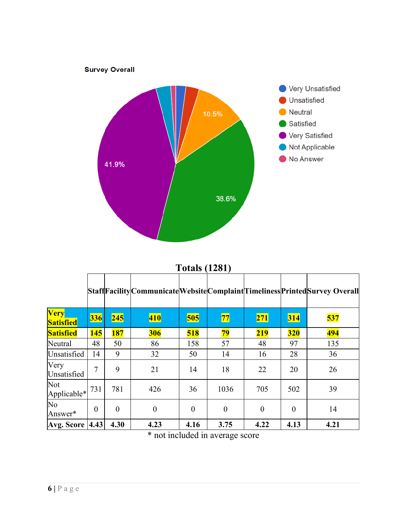

## **Totals (1281)**

|                                 |          |                |          |          |                |            |            | Staff Facility Communicate Website Complaint Timeliness Printed Survey Overall |
|---------------------------------|----------|----------------|----------|----------|----------------|------------|------------|--------------------------------------------------------------------------------|
| <b>Very</b><br><b>Satisfied</b> | 336      | 245            | 410      | 505      | 77             | <b>271</b> | <b>314</b> | 537                                                                            |
| <b>Satisfied</b>                | 145      | 187            | 306      | 518      | 79             | 219        | <b>320</b> | 494                                                                            |
| Neutral                         | 48       | 50             | 86       | 158      | 57             | 48         | 97         | 135                                                                            |
| Unsatisfied                     | 14       | 9              | 32       | 50       | 14             | 16         | 28         | 36                                                                             |
| Very<br>Unsatisfied             | 7        | 9              | 21       | 14       | 18             | 22         | 20         | 26                                                                             |
| Not<br>Applicable* 731          |          | 781            | 426      | 36       | 1036           | 705        | 502        | 39                                                                             |
| No<br>Answer*                   | $\theta$ | $\overline{0}$ | $\theta$ | $\theta$ | $\overline{0}$ | $\theta$   | $\theta$   | 14                                                                             |
| <b>Avg. Score   4.43  </b>      |          | 4.30           | 4.23     | 4.16     | 3.75           | 4.22       | 4.13       | 4.21                                                                           |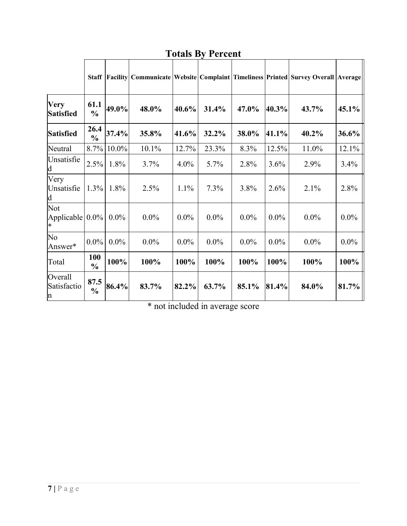|                                   | <b>Staff</b>          |         |         |         |         |         |         | Facility Communicate   Website   Complaint   Timeliness   Printed   Survey Overall   Average |         |
|-----------------------------------|-----------------------|---------|---------|---------|---------|---------|---------|----------------------------------------------------------------------------------------------|---------|
| <b>Very</b><br><b>Satisfied</b>   | 61.1<br>$\frac{0}{0}$ | 49.0%   | 48.0%   | 40.6%   | 31.4%   | 47.0%   | 40.3%   | 43.7%                                                                                        | 45.1%   |
| <b>Satisfied</b>                  | 26.4<br>$\frac{0}{0}$ | 37.4%   | 35.8%   | 41.6%   | 32.2%   | 38.0%   | 41.1%   | 40.2%                                                                                        | 36.6%   |
| Neutral                           | 8.7%                  | 10.0%   | 10.1%   | 12.7%   | 23.3%   | 8.3%    | 12.5%   | 11.0%                                                                                        | 12.1%   |
| Unsatisfie<br>$\mathbf d$         | 2.5%                  | 1.8%    | 3.7%    | $4.0\%$ | $5.7\%$ | 2.8%    | 3.6%    | 2.9%                                                                                         | 3.4%    |
| Very<br>Unsatisfie<br>$\mathbf d$ | $1.3\%$               | 1.8%    | 2.5%    | 1.1%    | 7.3%    | 3.8%    | 2.6%    | 2.1%                                                                                         | 2.8%    |
| Not<br>Applicable 0.0%            |                       | $0.0\%$ | $0.0\%$ | $0.0\%$ | $0.0\%$ | $0.0\%$ | $0.0\%$ | $0.0\%$                                                                                      | $0.0\%$ |
| No<br>Answer*                     | $0.0\%$               | $0.0\%$ | $0.0\%$ | $0.0\%$ | $0.0\%$ | $0.0\%$ | $0.0\%$ | $0.0\%$                                                                                      | $0.0\%$ |
| Total                             | 100<br>$\frac{0}{0}$  | 100%    | 100%    | 100%    | 100%    | 100%    | 100%    | 100%                                                                                         | 100%    |
| Overall<br>Satisfactio<br>$\ln$   | 87.5<br>$\frac{0}{0}$ | 86.4%   | 83.7%   | 82.2%   | 63.7%   | 85.1%   | 81.4%   | 84.0%                                                                                        | 81.7%   |

## **Totals By Percent**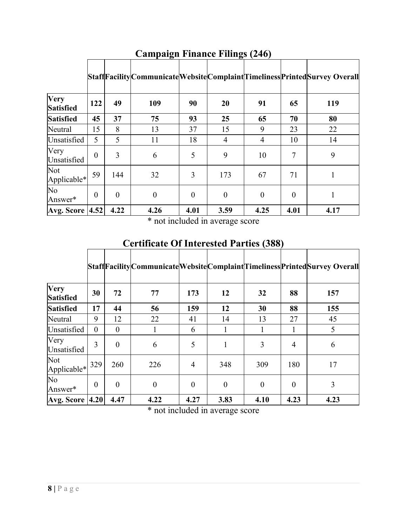|                          |          |          |                |          |                |                |          | StaffFacilityCommunicateWebsiteComplaintTimelinessPrintedSurvey Overall |
|--------------------------|----------|----------|----------------|----------|----------------|----------------|----------|-------------------------------------------------------------------------|
| Very<br><b>Satisfied</b> | 122      | 49       | 109            | 90       | 20             | 91             | 65       | 119                                                                     |
| <b>Satisfied</b>         | 45       | 37       | 75             | 93       | 25             | 65             | 70       | 80                                                                      |
| Neutral                  | 15       | 8        | 13             | 37       | 15             | 9              | 23       | 22                                                                      |
| Unsatisfied              | 5        | 5        | 11             | 18       | 4              | $\overline{4}$ | 10       | 14                                                                      |
| Very<br>Unsatisfied      | $\theta$ | 3        | 6              | 5        | 9              | 10             | 7        | 9                                                                       |
| Not<br>Applicable*       | 59       | 144      | 32             | 3        | 173            | 67             | 71       |                                                                         |
| No<br>Answer*            | $\theta$ | $\theta$ | $\overline{0}$ | $\theta$ | $\overline{0}$ | $\overline{0}$ | $\theta$ | 1                                                                       |
| <b>Avg. Score 4.52</b>   |          | 4.22     | 4.26           | 4.01     | 3.59           | 4.25           | 4.01     | 4.17                                                                    |

## **Campaign Finance Filings (246)**

\* not included in average score

## **Certificate Of Interested Parties (388)**

|                          |                |          |                  |                |                |                  |          | StaffFacilityCommunicateWebsiteComplaintTimelinessPrintedSurvey Overall |
|--------------------------|----------------|----------|------------------|----------------|----------------|------------------|----------|-------------------------------------------------------------------------|
| Very<br><b>Satisfied</b> | 30             | 72       | 77               | 173            | 12             | 32               | 88       | 157                                                                     |
| <b>Satisfied</b>         | 17             | 44       | 56               | 159            | 12             | 30               | 88       | 155                                                                     |
| Neutral                  | 9              | 12       | 22               | 41             | 14             | 13               | 27       | 45                                                                      |
| Unsatisfied              | $\theta$       | $\theta$ |                  | 6              | 1              |                  |          | 5                                                                       |
| Very<br>Unsatisfied      | 3              | $\theta$ | 6                | 5              | 1              | 3                | 4        | 6                                                                       |
| Not<br>Applicable*       | 329            | 260      | 226              | $\overline{4}$ | 348            | 309              | 180      | 17                                                                      |
| No<br>Answer*            | $\overline{0}$ | $\theta$ | $\boldsymbol{0}$ | $\theta$       | $\overline{0}$ | $\boldsymbol{0}$ | $\theta$ | 3                                                                       |
| <b>Avg. Score 4.20</b>   |                | 4.47     | 4.22             | 4.27           | 3.83           | 4.10             | 4.23     | 4.23                                                                    |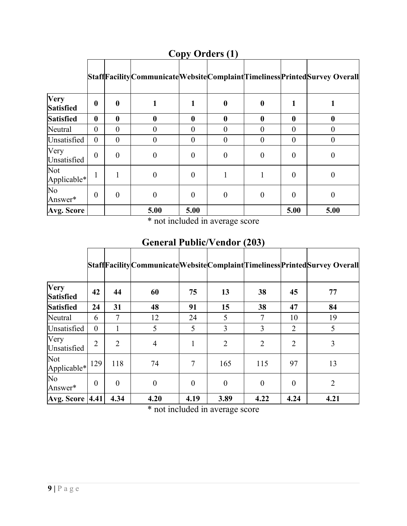|                          |                  |                  |          |                  |                  |          |          | Staff Facility Communicate Website Complaint Timeliness Printed Survey Overall |
|--------------------------|------------------|------------------|----------|------------------|------------------|----------|----------|--------------------------------------------------------------------------------|
| Very<br><b>Satisfied</b> | $\boldsymbol{0}$ | $\boldsymbol{0}$ |          |                  | $\boldsymbol{0}$ | 0        |          |                                                                                |
| <b>Satisfied</b>         | $\mathbf{0}$     | $\boldsymbol{0}$ | 0        | $\boldsymbol{0}$ | $\bf{0}$         | 0        | 0        | 0                                                                              |
| Neutral                  | $\theta$         | $\theta$         | $\Omega$ | $\theta$         | $\overline{0}$   | 0        | $\theta$ |                                                                                |
| Unsatisfied              | $\theta$         | $\overline{0}$   | 0        | $\theta$         | $\overline{0}$   | 0        | $\Omega$ | 0                                                                              |
| Very<br>Unsatisfied      | $\theta$         | $\theta$         | $\Omega$ | $\theta$         | $\overline{0}$   | $\Omega$ | $\theta$ | 0                                                                              |
| Not<br>Applicable*       | 1                |                  | $\theta$ | $\theta$         |                  |          | $\theta$ | 0                                                                              |
| No<br>Answer*            | $\theta$         | $\overline{0}$   | $\theta$ | $\theta$         | $\overline{0}$   | $\theta$ | $\Omega$ | $\boldsymbol{0}$                                                               |
| Avg. Score               |                  |                  | 5.00     | 5.00             |                  |          | 5.00     | 5.00                                                                           |

**Copy Orders (1)**

\* not included in average score

**General Public/Vendor (203)**

|                          |                |                |                |          |                |                |                | StaffFacilityCommunicateWebsiteComplaintTimelinessPrintedSurvey Overall |
|--------------------------|----------------|----------------|----------------|----------|----------------|----------------|----------------|-------------------------------------------------------------------------|
| Very<br><b>Satisfied</b> | 42             | 44             | 60             | 75       | 13             | 38             | 45             | 77                                                                      |
| <b>Satisfied</b>         | 24             | 31             | 48             | 91       | 15             | 38             | 47             | 84                                                                      |
| Neutral                  | 6              | 7              | 12             | 24       | 5              | 7              | 10             | 19                                                                      |
| Unsatisfied              | $\theta$       | 1              | 5              | 5        | 3              | 3              | $\overline{2}$ | 5                                                                       |
| Very<br>Unsatisfied      | $\overline{2}$ | $\overline{2}$ | $\overline{4}$ |          | $\overline{2}$ | $\overline{2}$ | $\overline{2}$ | 3                                                                       |
| Not<br>Applicable*       | 129            | 118            | 74             | 7        | 165            | 115            | 97             | 13                                                                      |
| No<br>Answer*            | $\overline{0}$ | $\theta$       | $\theta$       | $\theta$ | $\overline{0}$ | $\theta$       | $\theta$       | $\overline{2}$                                                          |
| <b>Avg. Score 4.41</b>   |                | 4.34           | 4.20           | 4.19     | 3.89           | 4.22           | 4.24           | 4.21                                                                    |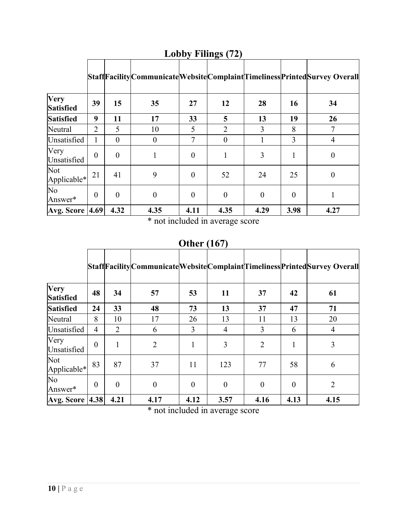|                                 |                  |          |          |                |                |                |          | StaffFacilityCommunicateWebsiteComplaintTimelinessPrintedSurvey Overall |
|---------------------------------|------------------|----------|----------|----------------|----------------|----------------|----------|-------------------------------------------------------------------------|
| <b>Very</b><br><b>Satisfied</b> | 39               | 15       | 35       | 27             | 12             | 28             | 16       | 34                                                                      |
| <b>Satisfied</b>                | 9                | 11       | 17       | 33             | 5              | 13             | 19       | 26                                                                      |
| Neutral                         | $\overline{2}$   | 5        | 10       | 5              | $\overline{2}$ | 3              | 8        | 7                                                                       |
| Unsatisfied                     | 1                | $\theta$ | $\theta$ | 7              | $\theta$       |                | 3        | 4                                                                       |
| Very<br>Unsatisfied             | $\theta$         | $\theta$ | 1        | $\overline{0}$ |                | 3              |          | $\boldsymbol{0}$                                                        |
| Not<br>Applicable*              | 21               | 41       | 9        | $\theta$       | 52             | 24             | 25       | $\boldsymbol{0}$                                                        |
| No<br>Answer*                   | $\boldsymbol{0}$ | $\theta$ | $\theta$ | $\theta$       | $\overline{0}$ | $\overline{0}$ | $\theta$ |                                                                         |
| <b>Avg. Score 4.69</b>          |                  | 4.32     | 4.35     | 4.11           | 4.35           | 4.29           | 3.98     | 4.27                                                                    |

## **Lobby Filings (72)**

\* not included in average score

## **Other (167)**

|                                 |                  |                |                |          |                  |                |          | StaffFacilityCommunicateWebsiteComplaintTimelinessPrintedSurvey Overall |
|---------------------------------|------------------|----------------|----------------|----------|------------------|----------------|----------|-------------------------------------------------------------------------|
| <b>Very</b><br><b>Satisfied</b> | 48               | 34             | 57             | 53       | 11               | 37             | 42       | 61                                                                      |
| <b>Satisfied</b>                | 24               | 33             | 48             | 73       | 13               | 37             | 47       | 71                                                                      |
| Neutral                         | 8                | 10             | 17             | 26       | 13               | 11             | 13       | 20                                                                      |
| Unsatisfied                     | $\overline{4}$   | $\overline{2}$ | 6              | 3        | $\overline{4}$   | 3              | 6        | $\overline{4}$                                                          |
| Very<br>Unsatisfied             | $\theta$         | 1              | $\overline{2}$ |          | 3                | $\overline{2}$ |          | 3                                                                       |
| Not<br>Applicable*              | 83               | 87             | 37             | 11       | 123              | 77             | 58       | 6                                                                       |
| No<br>Answer*                   | $\boldsymbol{0}$ | $\overline{0}$ | $\overline{0}$ | $\theta$ | $\boldsymbol{0}$ | $\overline{0}$ | $\theta$ | $\overline{2}$                                                          |
| <b>Avg. Score  4.38 </b>        |                  | 4.21           | 4.17           | 4.12     | 3.57             | 4.16           | 4.13     | 4.15                                                                    |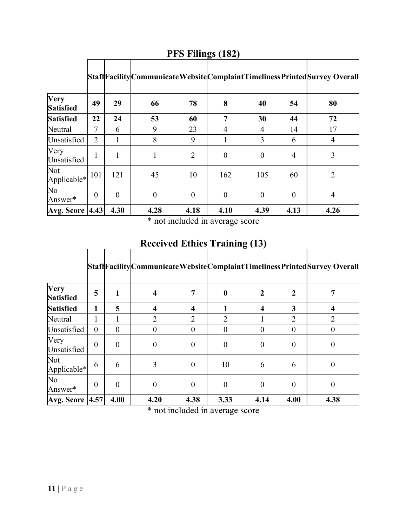|                            |                |          |          |                |                  |          |                | StaffFacilityCommunicateWebsiteComplaintTimelinessPrintedSurvey Overall |
|----------------------------|----------------|----------|----------|----------------|------------------|----------|----------------|-------------------------------------------------------------------------|
| Very<br><b>Satisfied</b>   | 49             | 29       | 66       | 78             | 8                | 40       | 54             | 80                                                                      |
| <b>Satisfied</b>           | 22             | 24       | 53       | 60             | 7                | 30       | 44             | 72                                                                      |
| Neutral                    | 7              | 6        | 9        | 23             | 4                | 4        | 14             | 17                                                                      |
| Unsatisfied                | $\overline{2}$ | 1        | 8        | 9              |                  | 3        | 6              | 4                                                                       |
| Very<br>Unsatisfied        | 1              |          |          | $\overline{2}$ | $\boldsymbol{0}$ | $\theta$ | $\overline{4}$ | 3                                                                       |
| Not<br>Applicable*         | 101            | 121      | 45       | 10             | 162              | 105      | 60             | $\overline{2}$                                                          |
| No<br>Answer*              | $\theta$       | $\theta$ | $\theta$ | $\theta$       | $\theta$         | $\theta$ | $\theta$       | 4                                                                       |
| <b>Avg. Score   4.43  </b> |                | 4.30     | 4.28     | 4.18           | 4.10             | 4.39     | 4.13           | 4.26                                                                    |

**PFS Filings (182)**

\* not included in average score

**Received Ethics Training (13)**

|                          |          |                |                |                  |                  |                |                | Staff Facility Communicate Website Complaint Timeliness Printed Survey Overall |
|--------------------------|----------|----------------|----------------|------------------|------------------|----------------|----------------|--------------------------------------------------------------------------------|
| Very<br><b>Satisfied</b> | 5        | 1              |                | 7                | $\boldsymbol{0}$ | 2              | 2              |                                                                                |
| <b>Satisfied</b>         | 1        | 5              | 4              | $\boldsymbol{4}$ |                  | 4              | 3              | 4                                                                              |
| Neutral                  |          |                | $\mathfrak{D}$ | $\overline{2}$   | $\overline{2}$   |                | $\overline{2}$ | 2                                                                              |
| Unsatisfied              | $\theta$ | $\theta$       | $\theta$       | $\theta$         | 0                | $\Omega$       | $\Omega$       |                                                                                |
| Very<br>Unsatisfied      | $\theta$ | $\overline{0}$ | $\theta$       | $\theta$         | $\overline{0}$   | $\theta$       | $\theta$       | 0                                                                              |
| Not<br>Applicable*       | 6        | 6              | 3              | $\theta$         | 10               | 6              | 6              | 0                                                                              |
| No<br>Answer*            | $\theta$ | $\overline{0}$ | $\theta$       | $\theta$         | $\overline{0}$   | $\overline{0}$ | $\theta$       | 0                                                                              |
| <b>Avg. Score 4.57</b>   |          | 4.00           | 4.20           | 4.38             | 3.33             | 4.14           | 4.00           | 4.38                                                                           |